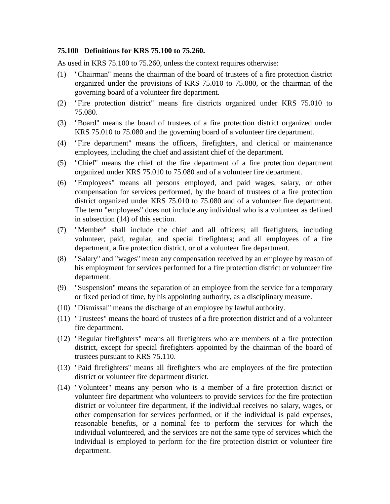## **75.100 Definitions for KRS 75.100 to 75.260.**

As used in KRS 75.100 to 75.260, unless the context requires otherwise:

- (1) "Chairman" means the chairman of the board of trustees of a fire protection district organized under the provisions of KRS 75.010 to 75.080, or the chairman of the governing board of a volunteer fire department.
- (2) "Fire protection district" means fire districts organized under KRS 75.010 to 75.080.
- (3) "Board" means the board of trustees of a fire protection district organized under KRS 75.010 to 75.080 and the governing board of a volunteer fire department.
- (4) "Fire department" means the officers, firefighters, and clerical or maintenance employees, including the chief and assistant chief of the department.
- (5) "Chief" means the chief of the fire department of a fire protection department organized under KRS 75.010 to 75.080 and of a volunteer fire department.
- (6) "Employees" means all persons employed, and paid wages, salary, or other compensation for services performed, by the board of trustees of a fire protection district organized under KRS 75.010 to 75.080 and of a volunteer fire department. The term "employees" does not include any individual who is a volunteer as defined in subsection (14) of this section.
- (7) "Member" shall include the chief and all officers; all firefighters, including volunteer, paid, regular, and special firefighters; and all employees of a fire department, a fire protection district, or of a volunteer fire department.
- (8) "Salary" and "wages" mean any compensation received by an employee by reason of his employment for services performed for a fire protection district or volunteer fire department.
- (9) "Suspension" means the separation of an employee from the service for a temporary or fixed period of time, by his appointing authority, as a disciplinary measure.
- (10) "Dismissal" means the discharge of an employee by lawful authority.
- (11) "Trustees" means the board of trustees of a fire protection district and of a volunteer fire department.
- (12) "Regular firefighters" means all firefighters who are members of a fire protection district, except for special firefighters appointed by the chairman of the board of trustees pursuant to KRS 75.110.
- (13) "Paid firefighters" means all firefighters who are employees of the fire protection district or volunteer fire department district.
- (14) "Volunteer" means any person who is a member of a fire protection district or volunteer fire department who volunteers to provide services for the fire protection district or volunteer fire department, if the individual receives no salary, wages, or other compensation for services performed, or if the individual is paid expenses, reasonable benefits, or a nominal fee to perform the services for which the individual volunteered, and the services are not the same type of services which the individual is employed to perform for the fire protection district or volunteer fire department.